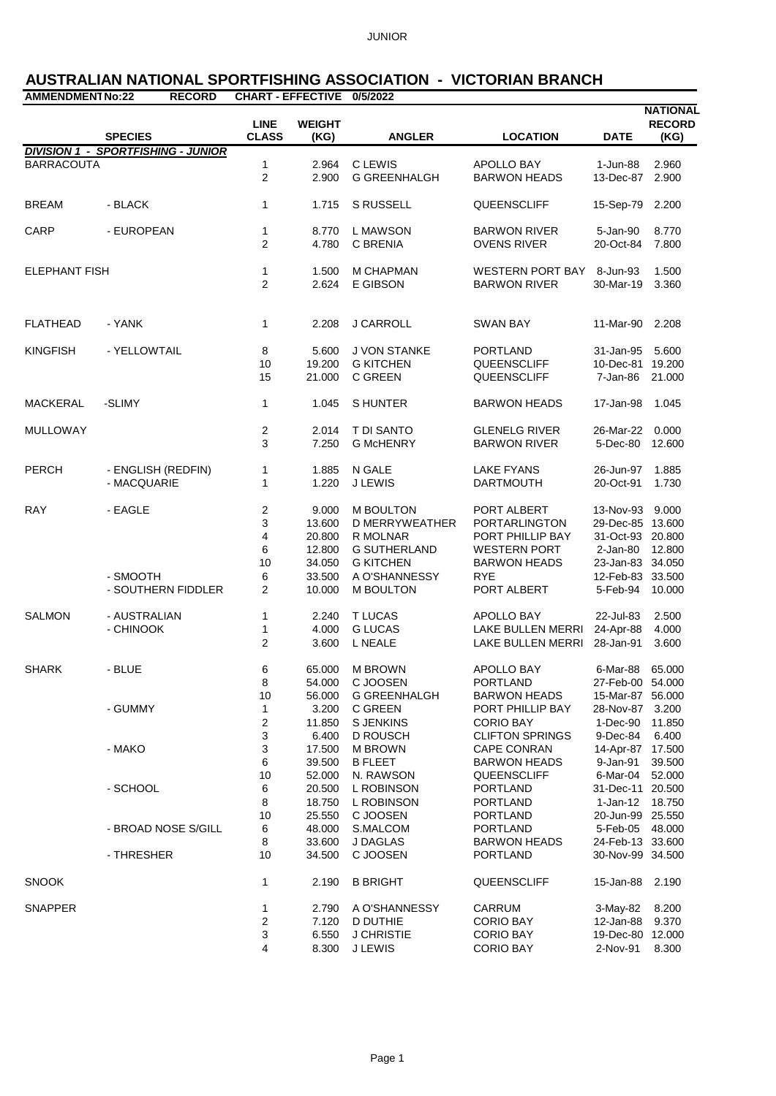## **AUSTRALIAN NATIONAL SPORTFISHING ASSOCIATION - VICTORIAN BRANCH**

| <b>AMMENDMENT No:22</b> | <b>RECORD</b>                             | CHART - EFFECTIVE 0/5/2022  |                       |                     |                           |                  | <b>NATIONAL</b>       |
|-------------------------|-------------------------------------------|-----------------------------|-----------------------|---------------------|---------------------------|------------------|-----------------------|
|                         | <b>SPECIES</b>                            | <b>LINE</b><br><b>CLASS</b> | <b>WEIGHT</b><br>(KG) | <b>ANGLER</b>       | <b>LOCATION</b>           | <b>DATE</b>      | <b>RECORD</b><br>(KG) |
|                         | <b>DIVISION 1 - SPORTFISHING - JUNIOR</b> |                             |                       |                     |                           |                  |                       |
| <b>BARRACOUTA</b>       |                                           | 1                           | 2.964                 | C LEWIS             | APOLLO BAY                | 1-Jun-88         | 2.960                 |
|                         |                                           | $\overline{2}$              | 2.900                 | <b>G GREENHALGH</b> | <b>BARWON HEADS</b>       | 13-Dec-87        | 2.900                 |
| <b>BREAM</b>            | - BLACK                                   | $\mathbf{1}$                | 1.715                 | S RUSSELL           | QUEENSCLIFF               | 15-Sep-79        | 2.200                 |
| CARP                    | - EUROPEAN                                | 1                           | 8.770                 | L MAWSON            | <b>BARWON RIVER</b>       | 5-Jan-90         | 8.770                 |
|                         |                                           | 2                           | 4.780                 | C BRENIA            | <b>OVENS RIVER</b>        | 20-Oct-84        | 7.800                 |
| <b>ELEPHANT FISH</b>    |                                           | 1                           | 1.500                 | <b>M CHAPMAN</b>    | WESTERN PORT BAY 8-Jun-93 |                  | 1.500                 |
|                         |                                           | $\overline{2}$              | 2.624                 | E GIBSON            | <b>BARWON RIVER</b>       | 30-Mar-19        | 3.360                 |
|                         |                                           |                             |                       |                     |                           |                  |                       |
| <b>FLATHEAD</b>         | - YANK                                    | $\mathbf{1}$                | 2.208                 | J CARROLL           | <b>SWAN BAY</b>           | 11-Mar-90        | 2.208                 |
| <b>KINGFISH</b>         | - YELLOWTAIL                              | 8                           | 5.600                 | J VON STANKE        | <b>PORTLAND</b>           | 31-Jan-95 5.600  |                       |
|                         |                                           | 10                          | 19.200                | <b>G KITCHEN</b>    | QUEENSCLIFF               | 10-Dec-81 19.200 |                       |
|                         |                                           | 15                          | 21.000                | C GREEN             | QUEENSCLIFF               | 7-Jan-86         | 21.000                |
| <b>MACKERAL</b>         | -SLIMY                                    | 1                           | 1.045                 | S HUNTER            | <b>BARWON HEADS</b>       | 17-Jan-98        | 1.045                 |
| <b>MULLOWAY</b>         |                                           | $\overline{c}$              | 2.014                 | T DI SANTO          | <b>GLENELG RIVER</b>      | 26-Mar-22 0.000  |                       |
|                         |                                           | 3                           | 7.250                 | <b>G McHENRY</b>    | <b>BARWON RIVER</b>       | 5-Dec-80         | 12.600                |
| <b>PERCH</b>            | - ENGLISH (REDFIN)                        | 1                           | 1.885                 | N GALE              | <b>LAKE FYANS</b>         | 26-Jun-97        | 1.885                 |
|                         | - MACQUARIE                               | $\mathbf{1}$                | 1.220                 | <b>J LEWIS</b>      | <b>DARTMOUTH</b>          | 20-Oct-91        | 1.730                 |
| <b>RAY</b>              | - EAGLE                                   | $\overline{c}$              | 9.000                 | <b>M BOULTON</b>    | PORT ALBERT               | 13-Nov-93 9.000  |                       |
|                         |                                           | 3                           | 13.600                | D MERRYWEATHER      | PORTARLINGTON             | 29-Dec-85 13.600 |                       |
|                         |                                           | 4                           |                       | 20.800 R MOLNAR     | PORT PHILLIP BAY          | 31-Oct-93 20.800 |                       |
|                         |                                           | 6                           | 12.800                | <b>G SUTHERLAND</b> | <b>WESTERN PORT</b>       | 2-Jan-80 12.800  |                       |
|                         |                                           | 10                          | 34.050                | <b>G KITCHEN</b>    | <b>BARWON HEADS</b>       | 23-Jan-83 34.050 |                       |
|                         | - SMOOTH                                  | 6                           | 33.500                | A O'SHANNESSY       | <b>RYE</b>                | 12-Feb-83 33.500 |                       |
|                         | - SOUTHERN FIDDLER                        | $\overline{2}$              | 10.000                | <b>M BOULTON</b>    | PORT ALBERT               | 5-Feb-94         | 10.000                |
| <b>SALMON</b>           | - AUSTRALIAN                              | 1                           | 2.240                 | <b>T LUCAS</b>      | APOLLO BAY                | 22-Jul-83        | 2.500                 |
|                         | - CHINOOK                                 | 1                           | 4.000                 | <b>G LUCAS</b>      | LAKE BULLEN MERRI         | 24-Apr-88        | 4.000                 |
|                         |                                           | 2                           | 3.600                 | L NEALE             | LAKE BULLEN MERRI         | 28-Jan-91        | 3.600                 |
| <b>SHARK</b>            | - BLUE                                    | 6                           | 65.000                | <b>M BROWN</b>      | APOLLO BAY                | 6-Mar-88         | 65,000                |
|                         |                                           | 8                           | 54.000                | C JOOSEN            | <b>PORTLAND</b>           | 27-Feb-00 54.000 |                       |
|                         |                                           | 10                          | 56.000                | <b>G GREENHALGH</b> | <b>BARWON HEADS</b>       | 15-Mar-87 56,000 |                       |
|                         | - GUMMY                                   | 1                           | 3.200                 | C GREEN             | PORT PHILLIP BAY          | 28-Nov-87 3.200  |                       |
|                         |                                           | 2                           | 11.850                | <b>S JENKINS</b>    | <b>CORIO BAY</b>          | 1-Dec-90         | 11.850                |
|                         |                                           | 3                           | 6.400                 | <b>D ROUSCH</b>     | <b>CLIFTON SPRINGS</b>    | 9-Dec-84         | 6.400                 |
|                         | - MAKO                                    | 3                           | 17.500                | <b>M BROWN</b>      | <b>CAPE CONRAN</b>        | 14-Apr-87 17.500 |                       |
|                         |                                           | 6                           | 39.500                | <b>B FLEET</b>      | <b>BARWON HEADS</b>       | 9-Jan-91         | 39.500                |
|                         |                                           | 10                          | 52.000                | N. RAWSON           | QUEENSCLIFF               | 6-Mar-04         | 52.000                |
|                         | - SCHOOL                                  | 6                           | 20.500                | L ROBINSON          | <b>PORTLAND</b>           | 31-Dec-11 20.500 |                       |
|                         |                                           | 8                           | 18.750                | L ROBINSON          | <b>PORTLAND</b>           | $1-Jan-12$       | 18.750                |
|                         |                                           | 10                          | 25.550                | C JOOSEN            | <b>PORTLAND</b>           | 20-Jun-99 25.550 |                       |
|                         | - BROAD NOSE S/GILL                       | 6                           | 48.000                | S.MALCOM            | <b>PORTLAND</b>           | 5-Feb-05         | 48.000                |
|                         |                                           | 8                           | 33.600                | J DAGLAS            | <b>BARWON HEADS</b>       | 24-Feb-13 33.600 |                       |
|                         | - THRESHER                                | 10                          | 34.500                | C JOOSEN            | <b>PORTLAND</b>           | 30-Nov-99 34.500 |                       |
| <b>SNOOK</b>            |                                           | 1                           | 2.190                 | <b>B BRIGHT</b>     | QUEENSCLIFF               | 15-Jan-88        | 2.190                 |
| <b>SNAPPER</b>          |                                           | 1                           | 2.790                 | A O'SHANNESSY       | CARRUM                    | 3-May-82         | 8.200                 |
|                         |                                           | 2                           | 7.120                 | <b>D DUTHIE</b>     | <b>CORIO BAY</b>          | 12-Jan-88        | 9.370                 |
|                         |                                           | 3                           | 6.550                 | <b>J CHRISTIE</b>   | <b>CORIO BAY</b>          | 19-Dec-80 12.000 |                       |
|                         |                                           | 4                           | 8.300                 | <b>J LEWIS</b>      | <b>CORIO BAY</b>          | 2-Nov-91         | 8.300                 |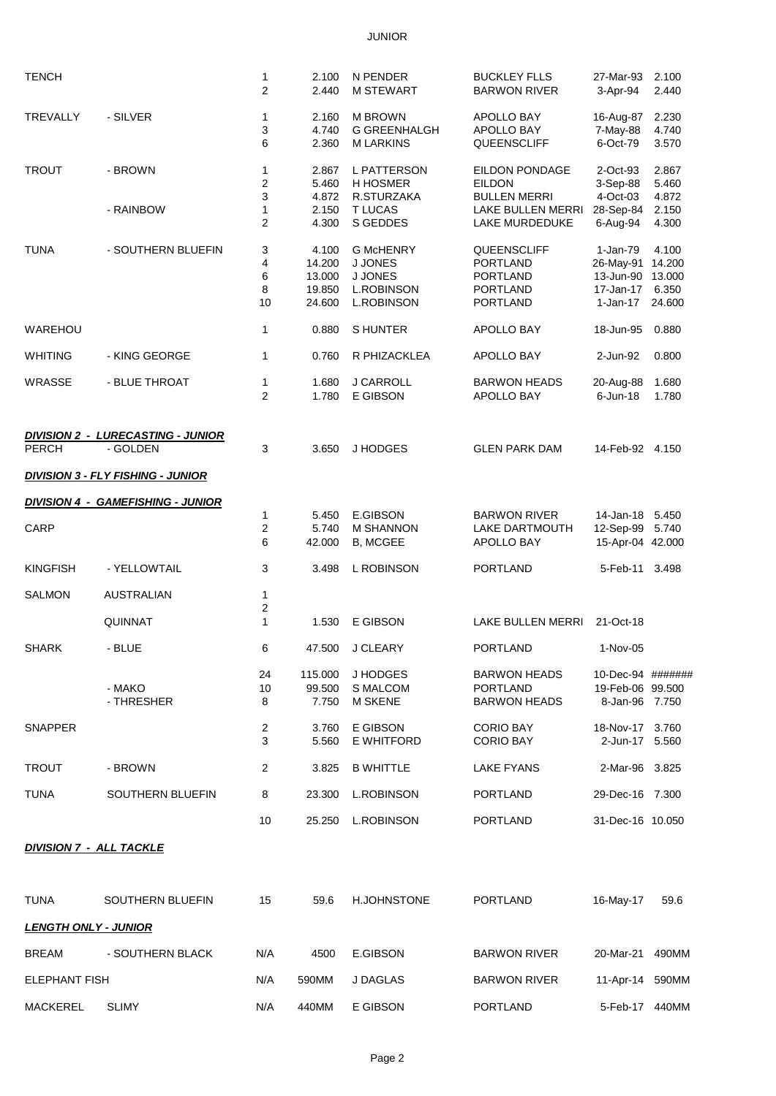## JUNIOR

| <b>TENCH</b>                   |                                                      | 1<br>$\overline{2}$          | 2.100<br>2.440                                | N PENDER<br><b>M STEWART</b>                                                            | <b>BUCKLEY FLLS</b><br><b>BARWON RIVER</b>                                              | 27-Mar-93<br>3-Apr-94                                                     | 2.100<br>2.440           |
|--------------------------------|------------------------------------------------------|------------------------------|-----------------------------------------------|-----------------------------------------------------------------------------------------|-----------------------------------------------------------------------------------------|---------------------------------------------------------------------------|--------------------------|
| <b>TREVALLY</b>                | - SILVER                                             | 1<br>3<br>6                  | 2.160<br>4.740<br>2.360                       | <b>M BROWN</b><br><b>G GREENHALGH</b><br><b>MLARKINS</b>                                | APOLLO BAY<br>APOLLO BAY<br>QUEENSCLIFF                                                 | 16-Aug-87<br>7-May-88<br>6-Oct-79                                         | 2.230<br>4.740<br>3.570  |
| <b>TROUT</b>                   | - BROWN                                              | 1<br>$\overline{\mathbf{c}}$ | 2.867<br>5.460                                | L PATTERSON<br><b>H HOSMER</b>                                                          | EILDON PONDAGE<br><b>EILDON</b>                                                         | 2-Oct-93<br>3-Sep-88<br>4-Oct-03                                          | 2.867<br>5.460           |
|                                | - RAINBOW                                            | 3<br>1<br>2                  | 4.872<br>2.150<br>4.300                       | R.STURZAKA<br><b>T LUCAS</b><br>S GEDDES                                                | <b>BULLEN MERRI</b><br>LAKE BULLEN MERRI<br>LAKE MURDEDUKE                              | 28-Sep-84<br>6-Aug-94                                                     | 4.872<br>2.150<br>4.300  |
| <b>TUNA</b>                    | - SOUTHERN BLUEFIN                                   | 3<br>4<br>6<br>8<br>10       | 4.100<br>14.200<br>13.000<br>19.850<br>24.600 | <b>G McHENRY</b><br><b>J JONES</b><br><b>J JONES</b><br>L.ROBINSON<br><b>L.ROBINSON</b> | QUEENSCLIFF<br><b>PORTLAND</b><br><b>PORTLAND</b><br><b>PORTLAND</b><br><b>PORTLAND</b> | 1-Jan-79<br>26-May-91 14.200<br>13-Jun-90 13.000<br>17-Jan-17<br>1-Jan-17 | 4.100<br>6.350<br>24.600 |
| WAREHOU                        |                                                      | 1                            | 0.880                                         | <b>SHUNTER</b>                                                                          | APOLLO BAY                                                                              | 18-Jun-95                                                                 | 0.880                    |
| <b>WHITING</b>                 | - KING GEORGE                                        | 1                            | 0.760                                         | R PHIZACKLEA                                                                            | APOLLO BAY                                                                              | 2-Jun-92                                                                  | 0.800                    |
| <b>WRASSE</b>                  | - BLUE THROAT                                        | 1<br>$\overline{2}$          | 1.680<br>1.780                                | J CARROLL<br>E GIBSON                                                                   | <b>BARWON HEADS</b><br>APOLLO BAY                                                       | 20-Aug-88<br>$6$ -Jun-18                                                  | 1.680<br>1.780           |
| <b>PERCH</b>                   | <b>DIVISION 2 - LURECASTING - JUNIOR</b><br>- GOLDEN | 3                            | 3.650                                         | J HODGES                                                                                | <b>GLEN PARK DAM</b>                                                                    | 14-Feb-92 4.150                                                           |                          |
|                                | <b>DIVISION 3 - FLY FISHING - JUNIOR</b>             |                              |                                               |                                                                                         |                                                                                         |                                                                           |                          |
|                                | <b>DIVISION 4 - GAMEFISHING - JUNIOR</b>             |                              |                                               |                                                                                         |                                                                                         |                                                                           |                          |
| CARP                           |                                                      | 1<br>2<br>6                  | 5.450<br>5.740<br>42.000                      | E.GIBSON<br><b>M SHANNON</b><br><b>B, MCGEE</b>                                         | <b>BARWON RIVER</b><br>LAKE DARTMOUTH<br>APOLLO BAY                                     | 14-Jan-18 5.450<br>12-Sep-99 5.740<br>15-Apr-04 42.000                    |                          |
| <b>KINGFISH</b>                | - YELLOWTAIL                                         | 3                            | 3.498                                         | L ROBINSON                                                                              | <b>PORTLAND</b>                                                                         | 5-Feb-11 3.498                                                            |                          |
| <b>SALMON</b>                  | <b>AUSTRALIAN</b>                                    | 1<br>2                       |                                               |                                                                                         |                                                                                         |                                                                           |                          |
|                                | QUINNAT                                              | $\mathbf{1}$                 | 1.530                                         | E GIBSON                                                                                | LAKE BULLEN MERRI                                                                       | 21-Oct-18                                                                 |                          |
| <b>SHARK</b>                   | - BLUE                                               | 6                            |                                               | 47.500 J CLEARY                                                                         | PORTLAND                                                                                | 1-Nov-05                                                                  |                          |
|                                | - MAKO<br>- THRESHER                                 | 24<br>10<br>8                | 115.000<br>99.500<br>7.750                    | J HODGES<br><b>S MALCOM</b><br><b>M SKENE</b>                                           | <b>BARWON HEADS</b><br><b>PORTLAND</b><br><b>BARWON HEADS</b>                           | 10-Dec-94 #######<br>19-Feb-06 99.500<br>8-Jan-96 7.750                   |                          |
| <b>SNAPPER</b>                 |                                                      | $\overline{2}$<br>3          | 3.760<br>5.560                                | E GIBSON<br>E WHITFORD                                                                  | <b>CORIO BAY</b><br><b>CORIO BAY</b>                                                    | 18-Nov-17 3.760<br>2-Jun-17 5.560                                         |                          |
| <b>TROUT</b>                   | - BROWN                                              | $\overline{2}$               | 3.825                                         | <b>B WHITTLE</b>                                                                        | <b>LAKE FYANS</b>                                                                       | 2-Mar-96 3.825                                                            |                          |
| <b>TUNA</b>                    | SOUTHERN BLUEFIN                                     | 8                            | 23.300                                        | <b>L.ROBINSON</b>                                                                       | <b>PORTLAND</b>                                                                         | 29-Dec-16 7.300                                                           |                          |
|                                |                                                      | 10                           | 25.250                                        | <b>L.ROBINSON</b>                                                                       | <b>PORTLAND</b>                                                                         | 31-Dec-16 10.050                                                          |                          |
| <b>DIVISION 7 - ALL TACKLE</b> |                                                      |                              |                                               |                                                                                         |                                                                                         |                                                                           |                          |
| <b>TUNA</b>                    | SOUTHERN BLUEFIN                                     | 15                           | 59.6                                          | <b>H.JOHNSTONE</b>                                                                      | <b>PORTLAND</b>                                                                         | 16-May-17                                                                 | 59.6                     |
| <b>LENGTH ONLY - JUNIOR</b>    |                                                      |                              |                                               |                                                                                         |                                                                                         |                                                                           |                          |
| <b>BREAM</b>                   | - SOUTHERN BLACK                                     | N/A                          | 4500                                          | E.GIBSON                                                                                | <b>BARWON RIVER</b>                                                                     | 20-Mar-21                                                                 | 490MM                    |
| <b>ELEPHANT FISH</b>           |                                                      | N/A                          | 590MM                                         | J DAGLAS                                                                                | <b>BARWON RIVER</b>                                                                     | 11-Apr-14 590MM                                                           |                          |
| <b>MACKEREL</b>                | <b>SLIMY</b>                                         | N/A                          | 440MM                                         | E GIBSON                                                                                | <b>PORTLAND</b>                                                                         | 5-Feb-17 440MM                                                            |                          |